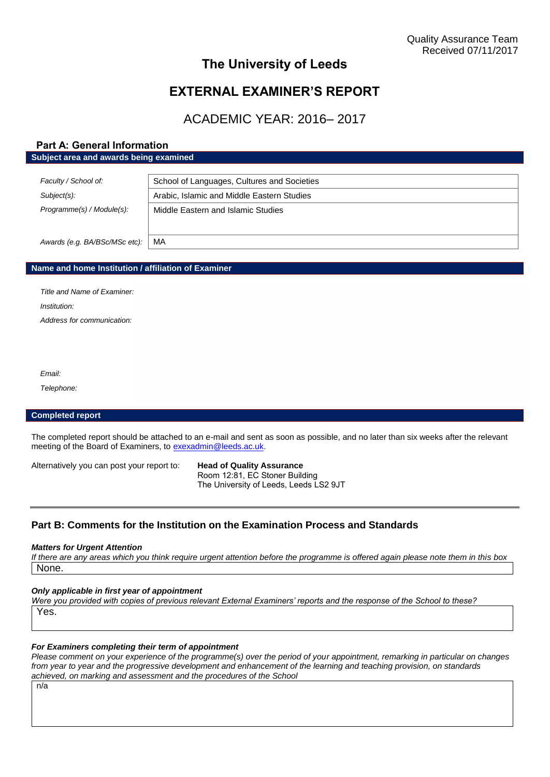## **The University of Leeds**

# **EXTERNAL EXAMINER'S REPORT**

# ACADEMIC YEAR: 2016– 2017

## **Part A: General Information Subject area and awards being examined**

| Faculty / School of:          | School of Languages, Cultures and Societies |
|-------------------------------|---------------------------------------------|
| Subject(s):                   | Arabic, Islamic and Middle Eastern Studies  |
| Programme(s) / Module(s):     | Middle Eastern and Islamic Studies          |
| Awards (e.g. BA/BSc/MSc etc): | МA                                          |

#### **Name and home Institution / affiliation of Examiner**

*Title and Name of Examiner: Institution: Address for communication:*

*Email:*

*Telephone:*

#### **Completed report**

The completed report should be attached to an e-mail and sent as soon as possible, and no later than six weeks after the relevant meeting of the Board of Examiners, to [exexadmin@leeds.ac.uk.](mailto:exexadmin@leeds.ac.uk)

Alternatively you can post your report to: **Head of Quality Assurance**

Room 12:81, EC Stoner Building The University of Leeds, Leeds LS2 9JT

## **Part B: Comments for the Institution on the Examination Process and Standards**

#### *Matters for Urgent Attention*

*If there are any areas which you think require urgent attention before the programme is offered again please note them in this box* None.

#### *Only applicable in first year of appointment*

*Were you provided with copies of previous relevant External Examiners' reports and the response of the School to these?*  Yes.

#### *For Examiners completing their term of appointment*

*Please comment on your experience of the programme(s) over the period of your appointment, remarking in particular on changes from year to year and the progressive development and enhancement of the learning and teaching provision, on standards achieved, on marking and assessment and the procedures of the School*

n/a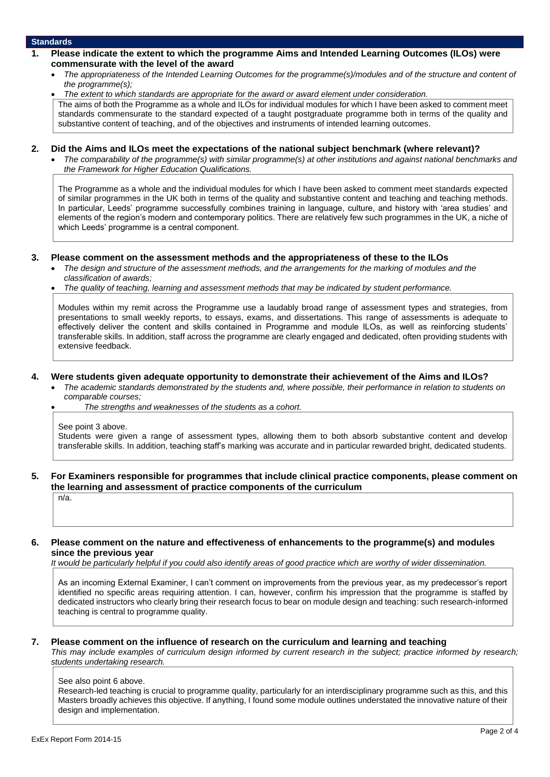#### **Standards**

- **1. Please indicate the extent to which the programme Aims and Intended Learning Outcomes (ILOs) were commensurate with the level of the award**
	- *The appropriateness of the Intended Learning Outcomes for the programme(s)/modules and of the structure and content of the programme(s);*
	- *The extent to which standards are appropriate for the award or award element under consideration.*

The aims of both the Programme as a whole and ILOs for individual modules for which I have been asked to comment meet standards commensurate to the standard expected of a taught postgraduate programme both in terms of the quality and substantive content of teaching, and of the objectives and instruments of intended learning outcomes.

## **2. Did the Aims and ILOs meet the expectations of the national subject benchmark (where relevant)?**

 *The comparability of the programme(s) with similar programme(s) at other institutions and against national benchmarks and the Framework for Higher Education Qualifications.*

The Programme as a whole and the individual modules for which I have been asked to comment meet standards expected of similar programmes in the UK both in terms of the quality and substantive content and teaching and teaching methods. In particular, Leeds' programme successfully combines training in language, culture, and history with 'area studies' and elements of the region's modern and contemporary politics. There are relatively few such programmes in the UK, a niche of which Leeds' programme is a central component.

#### **3. Please comment on the assessment methods and the appropriateness of these to the ILOs**

 *The design and structure of the assessment methods, and the arrangements for the marking of modules and the classification of awards;* 

*The quality of teaching, learning and assessment methods that may be indicated by student performance.*

Modules within my remit across the Programme use a laudably broad range of assessment types and strategies, from presentations to small weekly reports, to essays, exams, and dissertations. This range of assessments is adequate to effectively deliver the content and skills contained in Programme and module ILOs, as well as reinforcing students' transferable skills. In addition, staff across the programme are clearly engaged and dedicated, often providing students with extensive feedback.

#### **4. Were students given adequate opportunity to demonstrate their achievement of the Aims and ILOs?**

- *The academic standards demonstrated by the students and, where possible, their performance in relation to students on comparable courses;* 
	- *The strengths and weaknesses of the students as a cohort.*

See point 3 above.

Students were given a range of assessment types, allowing them to both absorb substantive content and develop transferable skills. In addition, teaching staff's marking was accurate and in particular rewarded bright, dedicated students.

## **5. For Examiners responsible for programmes that include clinical practice components, please comment on the learning and assessment of practice components of the curriculum**

n/a.

#### **6. Please comment on the nature and effectiveness of enhancements to the programme(s) and modules since the previous year**

*It would be particularly helpful if you could also identify areas of good practice which are worthy of wider dissemination.* 

As an incoming External Examiner, I can't comment on improvements from the previous year, as my predecessor's report identified no specific areas requiring attention. I can, however, confirm his impression that the programme is staffed by dedicated instructors who clearly bring their research focus to bear on module design and teaching: such research-informed teaching is central to programme quality.

### **7. Please comment on the influence of research on the curriculum and learning and teaching**

*This may include examples of curriculum design informed by current research in the subject; practice informed by research; students undertaking research.* 

See also point 6 above.

Research-led teaching is crucial to programme quality, particularly for an interdisciplinary programme such as this, and this Masters broadly achieves this objective. If anything, I found some module outlines understated the innovative nature of their design and implementation.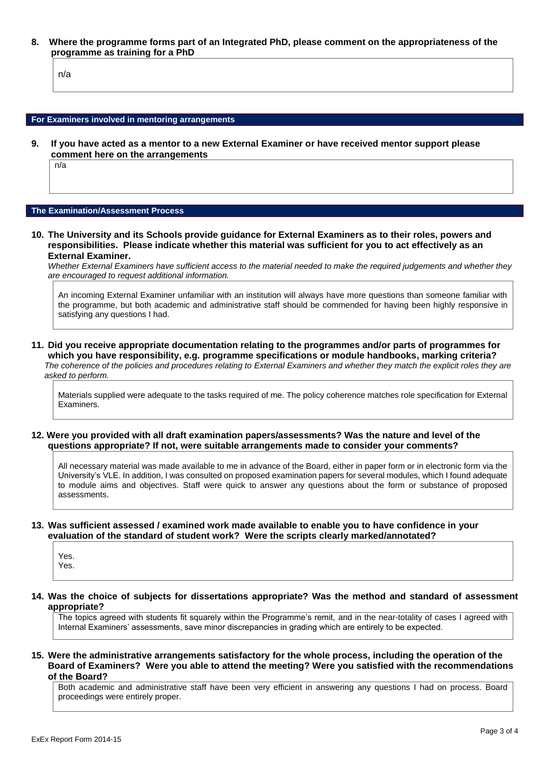**8. Where the programme forms part of an Integrated PhD, please comment on the appropriateness of the programme as training for a PhD**

n/a

#### **For Examiners involved in mentoring arrangements**

**9. If you have acted as a mentor to a new External Examiner or have received mentor support please comment here on the arrangements**

n/a

#### **The Examination/Assessment Process**

**10. The University and its Schools provide guidance for External Examiners as to their roles, powers and responsibilities. Please indicate whether this material was sufficient for you to act effectively as an External Examiner.**

*Whether External Examiners have sufficient access to the material needed to make the required judgements and whether they are encouraged to request additional information.*

An incoming External Examiner unfamiliar with an institution will always have more questions than someone familiar with the programme, but both academic and administrative staff should be commended for having been highly responsive in satisfying any questions I had.

**11. Did you receive appropriate documentation relating to the programmes and/or parts of programmes for which you have responsibility, e.g. programme specifications or module handbooks, marking criteria?** *The coherence of the policies and procedures relating to External Examiners and whether they match the explicit roles they are asked to perform.* 

Materials supplied were adequate to the tasks required of me. The policy coherence matches role specification for External Examiners.

#### **12. Were you provided with all draft examination papers/assessments? Was the nature and level of the questions appropriate? If not, were suitable arrangements made to consider your comments?**

All necessary material was made available to me in advance of the Board, either in paper form or in electronic form via the University's VLE. In addition, I was consulted on proposed examination papers for several modules, which I found adequate to module aims and objectives. Staff were quick to answer any questions about the form or substance of proposed assessments.

#### **13. Was sufficient assessed / examined work made available to enable you to have confidence in your evaluation of the standard of student work? Were the scripts clearly marked/annotated?**

Yes. Yes.

**14. Was the choice of subjects for dissertations appropriate? Was the method and standard of assessment appropriate?**

The topics agreed with students fit squarely within the Programme's remit, and in the near-totality of cases I agreed with Internal Examiners' assessments, save minor discrepancies in grading which are entirely to be expected.

**15. Were the administrative arrangements satisfactory for the whole process, including the operation of the Board of Examiners? Were you able to attend the meeting? Were you satisfied with the recommendations of the Board?**

Both academic and administrative staff have been very efficient in answering any questions I had on process. Board proceedings were entirely proper.